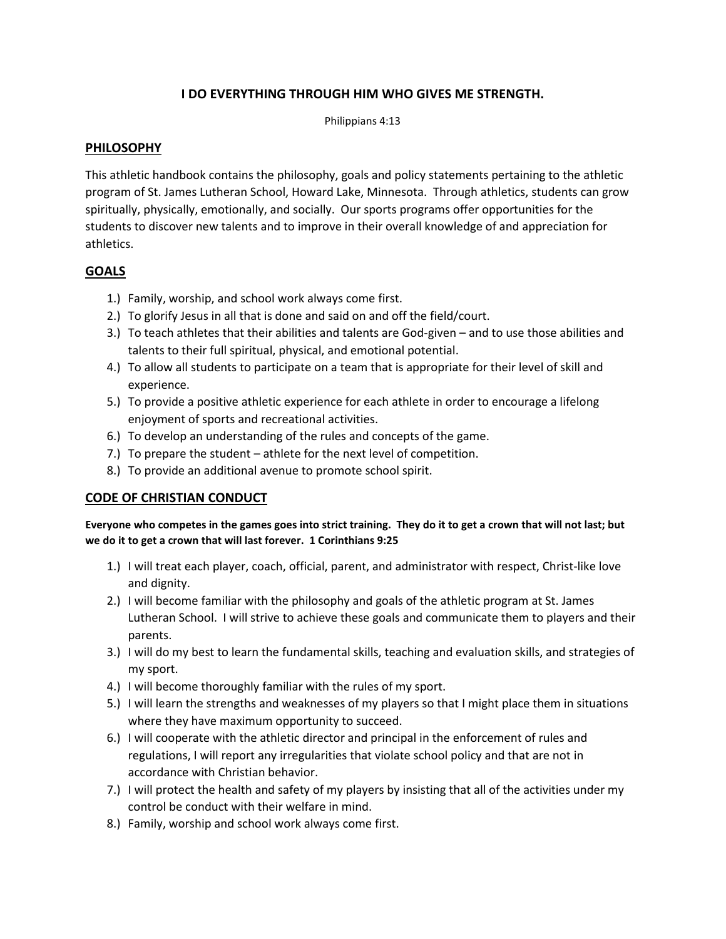# **I DO EVERYTHING THROUGH HIM WHO GIVES ME STRENGTH.**

Philippians 4:13

## **PHILOSOPHY**

This athletic handbook contains the philosophy, goals and policy statements pertaining to the athletic program of St. James Lutheran School, Howard Lake, Minnesota. Through athletics, students can grow spiritually, physically, emotionally, and socially. Our sports programs offer opportunities for the students to discover new talents and to improve in their overall knowledge of and appreciation for athletics.

# **GOALS**

- 1.) Family, worship, and school work always come first.
- 2.) To glorify Jesus in all that is done and said on and off the field/court.
- 3.) To teach athletes that their abilities and talents are God-given and to use those abilities and talents to their full spiritual, physical, and emotional potential.
- 4.) To allow all students to participate on a team that is appropriate for their level of skill and experience.
- 5.) To provide a positive athletic experience for each athlete in order to encourage a lifelong enjoyment of sports and recreational activities.
- 6.) To develop an understanding of the rules and concepts of the game.
- 7.) To prepare the student athlete for the next level of competition.
- 8.) To provide an additional avenue to promote school spirit.

# **CODE OF CHRISTIAN CONDUCT**

#### **Everyone who competes in the games goes into strict training. They do it to get a crown that will not last; but we do it to get a crown that will last forever. 1 Corinthians 9:25**

- 1.) I will treat each player, coach, official, parent, and administrator with respect, Christ-like love and dignity.
- 2.) I will become familiar with the philosophy and goals of the athletic program at St. James Lutheran School. I will strive to achieve these goals and communicate them to players and their parents.
- 3.) I will do my best to learn the fundamental skills, teaching and evaluation skills, and strategies of my sport.
- 4.) I will become thoroughly familiar with the rules of my sport.
- 5.) I will learn the strengths and weaknesses of my players so that I might place them in situations where they have maximum opportunity to succeed.
- 6.) I will cooperate with the athletic director and principal in the enforcement of rules and regulations, I will report any irregularities that violate school policy and that are not in accordance with Christian behavior.
- 7.) I will protect the health and safety of my players by insisting that all of the activities under my control be conduct with their welfare in mind.
- 8.) Family, worship and school work always come first.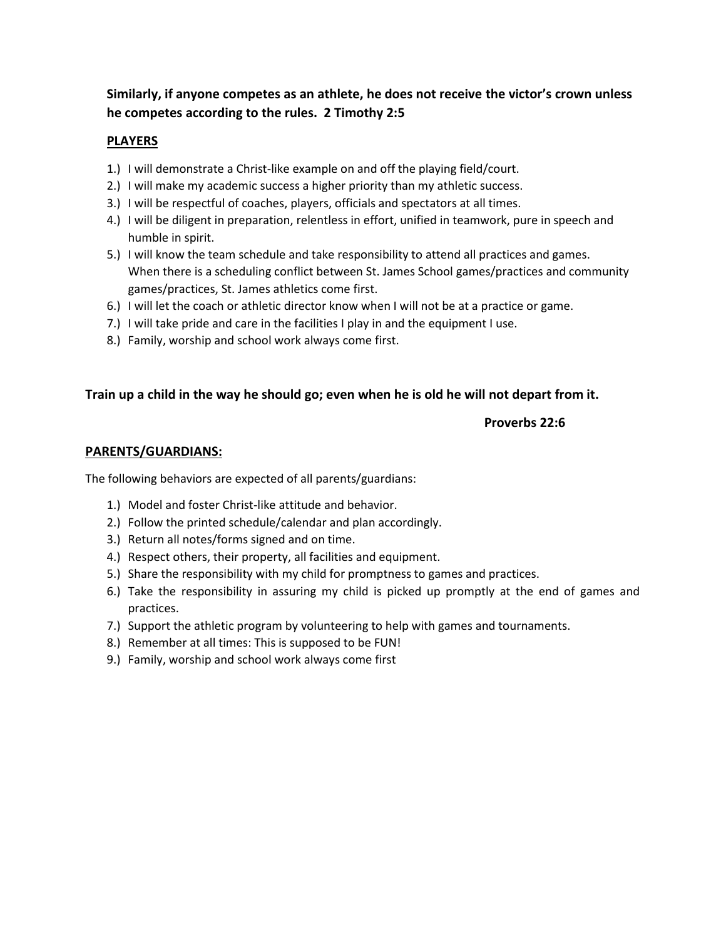# **Similarly, if anyone competes as an athlete, he does not receive the victor's crown unless he competes according to the rules. 2 Timothy 2:5**

## **PLAYERS**

- 1.) I will demonstrate a Christ-like example on and off the playing field/court.
- 2.) I will make my academic success a higher priority than my athletic success.
- 3.) I will be respectful of coaches, players, officials and spectators at all times.
- 4.) I will be diligent in preparation, relentless in effort, unified in teamwork, pure in speech and humble in spirit.
- 5.) I will know the team schedule and take responsibility to attend all practices and games. When there is a scheduling conflict between St. James School games/practices and community games/practices, St. James athletics come first.
- 6.) I will let the coach or athletic director know when I will not be at a practice or game.
- 7.) I will take pride and care in the facilities I play in and the equipment I use.
- 8.) Family, worship and school work always come first.

# **Train up a child in the way he should go; even when he is old he will not depart from it.**

## **Proverbs 22:6**

#### **PARENTS/GUARDIANS:**

The following behaviors are expected of all parents/guardians:

- 1.) Model and foster Christ-like attitude and behavior.
- 2.) Follow the printed schedule/calendar and plan accordingly.
- 3.) Return all notes/forms signed and on time.
- 4.) Respect others, their property, all facilities and equipment.
- 5.) Share the responsibility with my child for promptness to games and practices.
- 6.) Take the responsibility in assuring my child is picked up promptly at the end of games and practices.
- 7.) Support the athletic program by volunteering to help with games and tournaments.
- 8.) Remember at all times: This is supposed to be FUN!
- 9.) Family, worship and school work always come first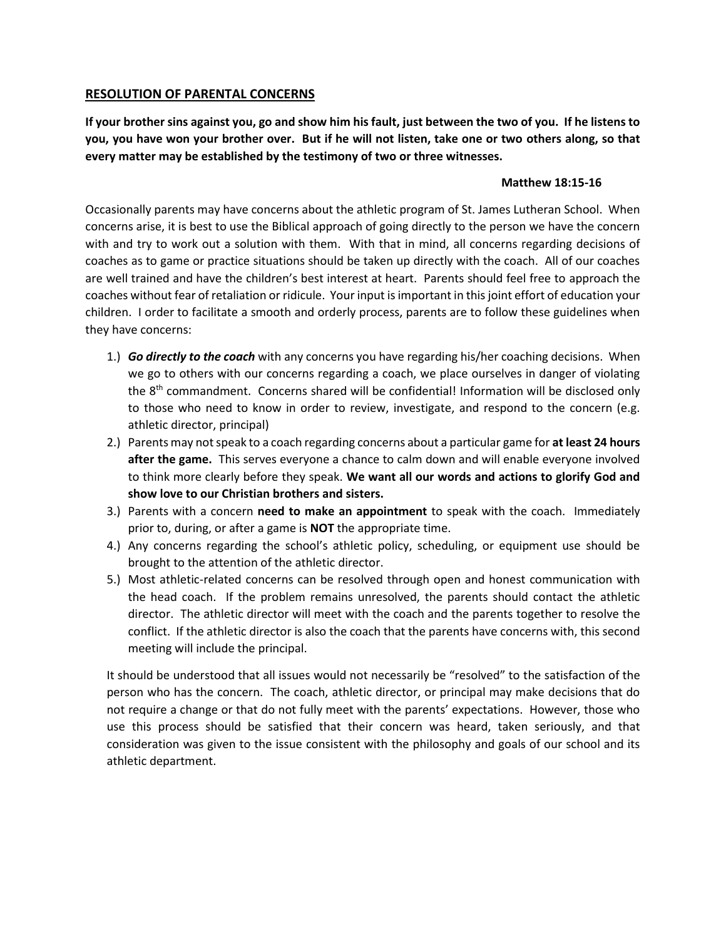## **RESOLUTION OF PARENTAL CONCERNS**

**If your brother sins against you, go and show him his fault, just between the two of you. If he listens to you, you have won your brother over. But if he will not listen, take one or two others along, so that every matter may be established by the testimony of two or three witnesses.**

## **Matthew 18:15-16**

Occasionally parents may have concerns about the athletic program of St. James Lutheran School. When concerns arise, it is best to use the Biblical approach of going directly to the person we have the concern with and try to work out a solution with them. With that in mind, all concerns regarding decisions of coaches as to game or practice situations should be taken up directly with the coach. All of our coaches are well trained and have the children's best interest at heart. Parents should feel free to approach the coaches without fear of retaliation or ridicule. Your input is important in this joint effort of education your children. I order to facilitate a smooth and orderly process, parents are to follow these guidelines when they have concerns:

- 1.) *Go directly to the coach* with any concerns you have regarding his/her coaching decisions. When we go to others with our concerns regarding a coach, we place ourselves in danger of violating the 8<sup>th</sup> commandment. Concerns shared will be confidential! Information will be disclosed only to those who need to know in order to review, investigate, and respond to the concern (e.g. athletic director, principal)
- 2.) Parents may not speak to a coach regarding concerns about a particular game for **at least 24 hours after the game.** This serves everyone a chance to calm down and will enable everyone involved to think more clearly before they speak. **We want all our words and actions to glorify God and show love to our Christian brothers and sisters.**
- 3.) Parents with a concern **need to make an appointment** to speak with the coach. Immediately prior to, during, or after a game is **NOT** the appropriate time.
- 4.) Any concerns regarding the school's athletic policy, scheduling, or equipment use should be brought to the attention of the athletic director.
- 5.) Most athletic-related concerns can be resolved through open and honest communication with the head coach. If the problem remains unresolved, the parents should contact the athletic director. The athletic director will meet with the coach and the parents together to resolve the conflict. If the athletic director is also the coach that the parents have concerns with, this second meeting will include the principal.

It should be understood that all issues would not necessarily be "resolved" to the satisfaction of the person who has the concern. The coach, athletic director, or principal may make decisions that do not require a change or that do not fully meet with the parents' expectations. However, those who use this process should be satisfied that their concern was heard, taken seriously, and that consideration was given to the issue consistent with the philosophy and goals of our school and its athletic department.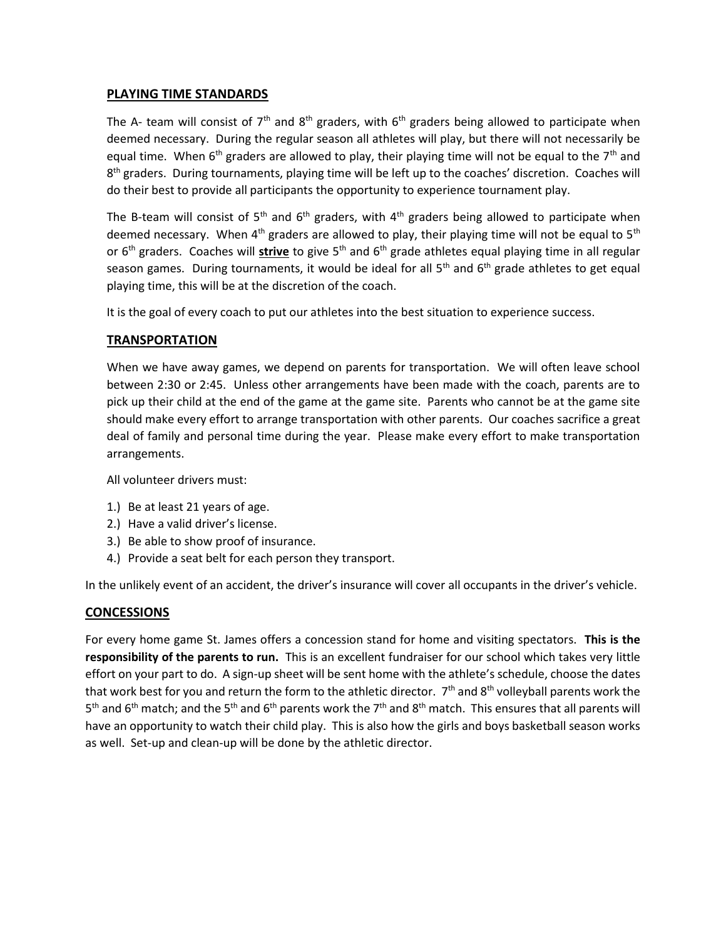## **PLAYING TIME STANDARDS**

The A- team will consist of  $7<sup>th</sup>$  and  $8<sup>th</sup>$  graders, with  $6<sup>th</sup>$  graders being allowed to participate when deemed necessary. During the regular season all athletes will play, but there will not necessarily be equal time. When  $6<sup>th</sup>$  graders are allowed to play, their playing time will not be equal to the  $7<sup>th</sup>$  and 8<sup>th</sup> graders. During tournaments, playing time will be left up to the coaches' discretion. Coaches will do their best to provide all participants the opportunity to experience tournament play.

The B-team will consist of 5<sup>th</sup> and 6<sup>th</sup> graders, with 4<sup>th</sup> graders being allowed to participate when deemed necessary. When  $4<sup>th</sup>$  graders are allowed to play, their playing time will not be equal to  $5<sup>th</sup>$ or 6<sup>th</sup> graders. Coaches will **strive** to give 5<sup>th</sup> and 6<sup>th</sup> grade athletes equal playing time in all regular season games. During tournaments, it would be ideal for all  $5<sup>th</sup>$  and  $6<sup>th</sup>$  grade athletes to get equal playing time, this will be at the discretion of the coach.

It is the goal of every coach to put our athletes into the best situation to experience success.

## **TRANSPORTATION**

When we have away games, we depend on parents for transportation. We will often leave school between 2:30 or 2:45. Unless other arrangements have been made with the coach, parents are to pick up their child at the end of the game at the game site. Parents who cannot be at the game site should make every effort to arrange transportation with other parents. Our coaches sacrifice a great deal of family and personal time during the year. Please make every effort to make transportation arrangements.

All volunteer drivers must:

- 1.) Be at least 21 years of age.
- 2.) Have a valid driver's license.
- 3.) Be able to show proof of insurance.
- 4.) Provide a seat belt for each person they transport.

In the unlikely event of an accident, the driver's insurance will cover all occupants in the driver's vehicle.

#### **CONCESSIONS**

For every home game St. James offers a concession stand for home and visiting spectators. **This is the responsibility of the parents to run.** This is an excellent fundraiser for our school which takes very little effort on your part to do. A sign-up sheet will be sent home with the athlete's schedule, choose the dates that work best for you and return the form to the athletic director.  $7<sup>th</sup>$  and 8<sup>th</sup> volleyball parents work the 5<sup>th</sup> and 6<sup>th</sup> match; and the 5<sup>th</sup> and 6<sup>th</sup> parents work the 7<sup>th</sup> and 8<sup>th</sup> match. This ensures that all parents will have an opportunity to watch their child play. This is also how the girls and boys basketball season works as well. Set-up and clean-up will be done by the athletic director.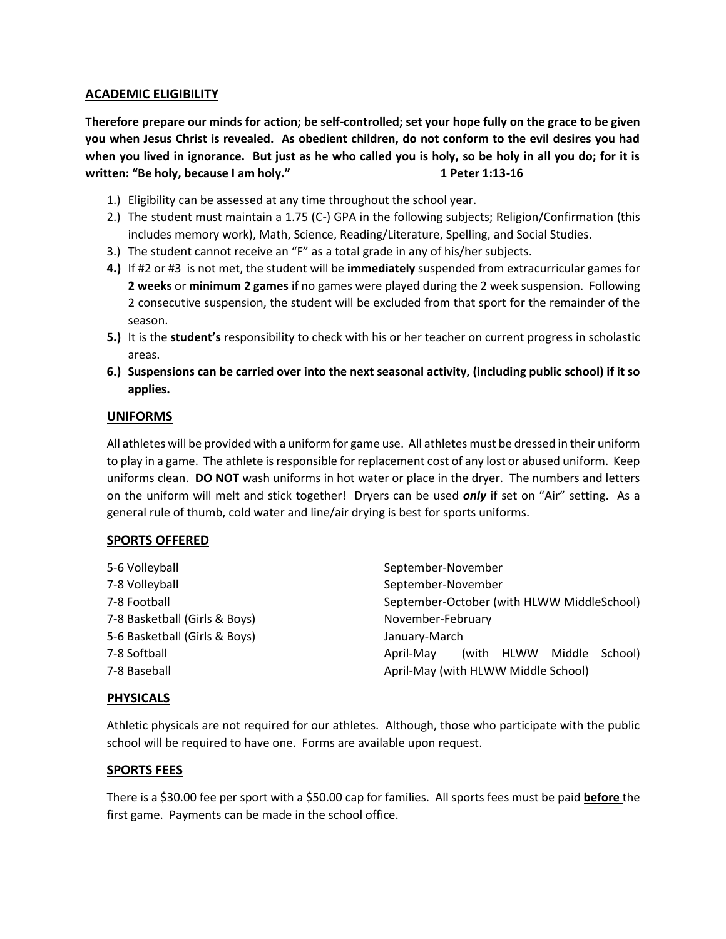# **ACADEMIC ELIGIBILITY**

**Therefore prepare our minds for action; be self-controlled; set your hope fully on the grace to be given you when Jesus Christ is revealed. As obedient children, do not conform to the evil desires you had when you lived in ignorance. But just as he who called you is holy, so be holy in all you do; for it is written: "Be holy, because I am holy."** 1 Peter 1:13-16

- 1.) Eligibility can be assessed at any time throughout the school year.
- 2.) The student must maintain a 1.75 (C-) GPA in the following subjects; Religion/Confirmation (this includes memory work), Math, Science, Reading/Literature, Spelling, and Social Studies.
- 3.) The student cannot receive an "F" as a total grade in any of his/her subjects.
- **4.)** If #2 or #3 is not met, the student will be **immediately** suspended from extracurricular games for **2 weeks** or **minimum 2 games** if no games were played during the 2 week suspension. Following 2 consecutive suspension, the student will be excluded from that sport for the remainder of the season.
- **5.)** It is the **student's** responsibility to check with his or her teacher on current progress in scholastic areas.
- **6.) Suspensions can be carried over into the next seasonal activity, (including public school) if it so applies.**

## **UNIFORMS**

All athletes will be provided with a uniform for game use. All athletes must be dressed in their uniform to play in a game. The athlete is responsible for replacement cost of any lost or abused uniform. Keep uniforms clean. **DO NOT** wash uniforms in hot water or place in the dryer. The numbers and letters on the uniform will melt and stick together! Dryers can be used *only* if set on "Air" setting. As a general rule of thumb, cold water and line/air drying is best for sports uniforms.

# **SPORTS OFFERED**

| 5-6 Volleyball                | September-November                           |
|-------------------------------|----------------------------------------------|
| 7-8 Volleyball                | September-November                           |
| 7-8 Football                  | September-October (with HLWW MiddleSchool)   |
| 7-8 Basketball (Girls & Boys) | November-February                            |
| 5-6 Basketball (Girls & Boys) | January-March                                |
| 7-8 Softball                  | (with HLWW<br>Middle<br>School)<br>April-May |
| 7-8 Baseball                  | April-May (with HLWW Middle School)          |

#### **PHYSICALS**

Athletic physicals are not required for our athletes. Although, those who participate with the public school will be required to have one. Forms are available upon request.

#### **SPORTS FEES**

There is a \$30.00 fee per sport with a \$50.00 cap for families. All sports fees must be paid **before** the first game. Payments can be made in the school office.